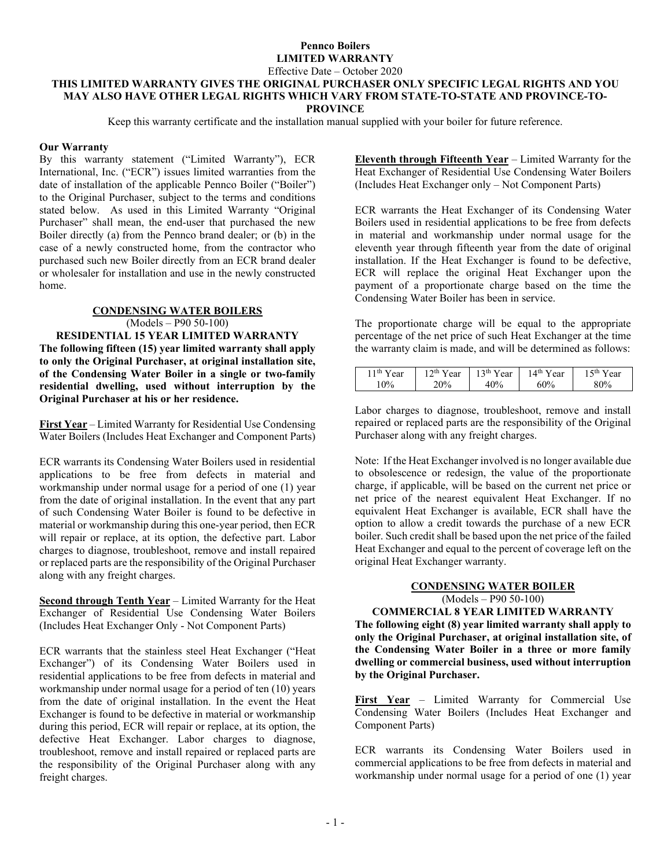# **Pennco Boilers LIMITED WARRANTY**

Effective Date – October 2020

### **THIS LIMITED WARRANTY GIVES THE ORIGINAL PURCHASER ONLY SPECIFIC LEGAL RIGHTS AND YOU MAY ALSO HAVE OTHER LEGAL RIGHTS WHICH VARY FROM STATE-TO-STATE AND PROVINCE-TO-PROVINCE**

Keep this warranty certificate and the installation manual supplied with your boiler for future reference.

## **Our Warranty**

By this warranty statement ("Limited Warranty"), ECR International, Inc. ("ECR") issues limited warranties from the date of installation of the applicable Pennco Boiler ("Boiler") to the Original Purchaser, subject to the terms and conditions stated below. As used in this Limited Warranty "Original Purchaser" shall mean, the end-user that purchased the new Boiler directly (a) from the Pennco brand dealer; or (b) in the case of a newly constructed home, from the contractor who purchased such new Boiler directly from an ECR brand dealer or wholesaler for installation and use in the newly constructed home.

### **CONDENSING WATER BOILERS** (Models – P90 50-100)

**RESIDENTIAL 15 YEAR LIMITED WARRANTY The following fifteen (15) year limited warranty shall apply to only the Original Purchaser, at original installation site, of the Condensing Water Boiler in a single or two-family residential dwelling, used without interruption by the Original Purchaser at his or her residence.**

**First Year** – Limited Warranty for Residential Use Condensing Water Boilers (Includes Heat Exchanger and Component Parts)

ECR warrants its Condensing Water Boilers used in residential applications to be free from defects in material and workmanship under normal usage for a period of one (1) year from the date of original installation. In the event that any part of such Condensing Water Boiler is found to be defective in material or workmanship during this one-year period, then ECR will repair or replace, at its option, the defective part. Labor charges to diagnose, troubleshoot, remove and install repaired or replaced parts are the responsibility of the Original Purchaser along with any freight charges.

**Second through Tenth Year** – Limited Warranty for the Heat Exchanger of Residential Use Condensing Water Boilers (Includes Heat Exchanger Only - Not Component Parts)

ECR warrants that the stainless steel Heat Exchanger ("Heat Exchanger") of its Condensing Water Boilers used in residential applications to be free from defects in material and workmanship under normal usage for a period of ten (10) years from the date of original installation. In the event the Heat Exchanger is found to be defective in material or workmanship during this period, ECR will repair or replace, at its option, the defective Heat Exchanger. Labor charges to diagnose, troubleshoot, remove and install repaired or replaced parts are the responsibility of the Original Purchaser along with any freight charges.

**Eleventh through Fifteenth Year** – Limited Warranty for the Heat Exchanger of Residential Use Condensing Water Boilers (Includes Heat Exchanger only – Not Component Parts)

ECR warrants the Heat Exchanger of its Condensing Water Boilers used in residential applications to be free from defects in material and workmanship under normal usage for the eleventh year through fifteenth year from the date of original installation. If the Heat Exchanger is found to be defective, ECR will replace the original Heat Exchanger upon the payment of a proportionate charge based on the time the Condensing Water Boiler has been in service.

The proportionate charge will be equal to the appropriate percentage of the net price of such Heat Exchanger at the time the warranty claim is made, and will be determined as follows:

| 11 <sup>th</sup> Year | $12th$ Year | $13th$ Year | 14 <sup>th</sup> Year | $15^{\text{th}}$<br>Year |
|-----------------------|-------------|-------------|-----------------------|--------------------------|
| $0\%$                 |             | 40%         | $0\%$                 | 80%                      |

Labor charges to diagnose, troubleshoot, remove and install repaired or replaced parts are the responsibility of the Original Purchaser along with any freight charges.

Note: If the Heat Exchanger involved is no longer available due to obsolescence or redesign, the value of the proportionate charge, if applicable, will be based on the current net price or net price of the nearest equivalent Heat Exchanger. If no equivalent Heat Exchanger is available, ECR shall have the option to allow a credit towards the purchase of a new ECR boiler. Such credit shall be based upon the net price of the failed Heat Exchanger and equal to the percent of coverage left on the original Heat Exchanger warranty.

### **CONDENSING WATER BOILER** (Models – P90 50-100)

**COMMERCIAL 8 YEAR LIMITED WARRANTY The following eight (8) year limited warranty shall apply to only the Original Purchaser, at original installation site, of the Condensing Water Boiler in a three or more family dwelling or commercial business, used without interruption by the Original Purchaser.**

**First Year** – Limited Warranty for Commercial Use Condensing Water Boilers (Includes Heat Exchanger and Component Parts)

ECR warrants its Condensing Water Boilers used in commercial applications to be free from defects in material and workmanship under normal usage for a period of one (1) year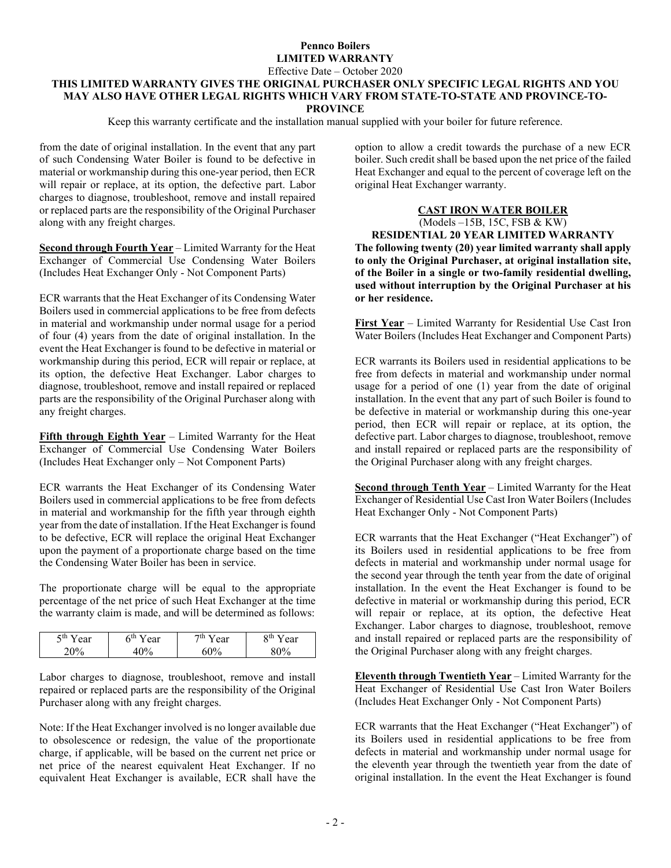# **THIS LIMITED WARRANTY GIVES THE ORIGINAL PURCHASER ONLY SPECIFIC LEGAL RIGHTS AND YOU MAY ALSO HAVE OTHER LEGAL RIGHTS WHICH VARY FROM STATE-TO-STATE AND PROVINCE-TO-PROVINCE**

Keep this warranty certificate and the installation manual supplied with your boiler for future reference.

from the date of original installation. In the event that any part of such Condensing Water Boiler is found to be defective in material or workmanship during this one-year period, then ECR will repair or replace, at its option, the defective part. Labor charges to diagnose, troubleshoot, remove and install repaired or replaced parts are the responsibility of the Original Purchaser along with any freight charges.

**Second through Fourth Year** – Limited Warranty for the Heat Exchanger of Commercial Use Condensing Water Boilers (Includes Heat Exchanger Only - Not Component Parts)

ECR warrants that the Heat Exchanger of its Condensing Water Boilers used in commercial applications to be free from defects in material and workmanship under normal usage for a period of four (4) years from the date of original installation. In the event the Heat Exchanger is found to be defective in material or workmanship during this period, ECR will repair or replace, at its option, the defective Heat Exchanger. Labor charges to diagnose, troubleshoot, remove and install repaired or replaced parts are the responsibility of the Original Purchaser along with any freight charges.

**Fifth through Eighth Year** – Limited Warranty for the Heat Exchanger of Commercial Use Condensing Water Boilers (Includes Heat Exchanger only – Not Component Parts)

ECR warrants the Heat Exchanger of its Condensing Water Boilers used in commercial applications to be free from defects in material and workmanship for the fifth year through eighth year from the date of installation. If the Heat Exchanger is found to be defective, ECR will replace the original Heat Exchanger upon the payment of a proportionate charge based on the time the Condensing Water Boiler has been in service.

The proportionate charge will be equal to the appropriate percentage of the net price of such Heat Exchanger at the time the warranty claim is made, and will be determined as follows:

| ςth<br>ear<br> | Аш<br>ear | 7th<br>ear     | 8տ<br>ear |
|----------------|-----------|----------------|-----------|
| 1 N U          |           | $\gamma_{0/2}$ |           |

Labor charges to diagnose, troubleshoot, remove and install repaired or replaced parts are the responsibility of the Original Purchaser along with any freight charges.

Note: If the Heat Exchanger involved is no longer available due to obsolescence or redesign, the value of the proportionate charge, if applicable, will be based on the current net price or net price of the nearest equivalent Heat Exchanger. If no equivalent Heat Exchanger is available, ECR shall have the option to allow a credit towards the purchase of a new ECR boiler. Such credit shall be based upon the net price of the failed Heat Exchanger and equal to the percent of coverage left on the original Heat Exchanger warranty.

# **CAST IRON WATER BOILER** (Models –15B, 15C, FSB & KW)

**RESIDENTIAL 20 YEAR LIMITED WARRANTY The following twenty (20) year limited warranty shall apply to only the Original Purchaser, at original installation site, of the Boiler in a single or two-family residential dwelling, used without interruption by the Original Purchaser at his or her residence.**

**First Year** – Limited Warranty for Residential Use Cast Iron Water Boilers (Includes Heat Exchanger and Component Parts)

ECR warrants its Boilers used in residential applications to be free from defects in material and workmanship under normal usage for a period of one (1) year from the date of original installation. In the event that any part of such Boiler is found to be defective in material or workmanship during this one-year period, then ECR will repair or replace, at its option, the defective part. Labor charges to diagnose, troubleshoot, remove and install repaired or replaced parts are the responsibility of the Original Purchaser along with any freight charges.

**Second through Tenth Year** – Limited Warranty for the Heat Exchanger of Residential Use Cast Iron Water Boilers (Includes Heat Exchanger Only - Not Component Parts)

ECR warrants that the Heat Exchanger ("Heat Exchanger") of its Boilers used in residential applications to be free from defects in material and workmanship under normal usage for the second year through the tenth year from the date of original installation. In the event the Heat Exchanger is found to be defective in material or workmanship during this period, ECR will repair or replace, at its option, the defective Heat Exchanger. Labor charges to diagnose, troubleshoot, remove and install repaired or replaced parts are the responsibility of the Original Purchaser along with any freight charges.

**Eleventh through Twentieth Year** – Limited Warranty for the Heat Exchanger of Residential Use Cast Iron Water Boilers (Includes Heat Exchanger Only - Not Component Parts)

ECR warrants that the Heat Exchanger ("Heat Exchanger") of its Boilers used in residential applications to be free from defects in material and workmanship under normal usage for the eleventh year through the twentieth year from the date of original installation. In the event the Heat Exchanger is found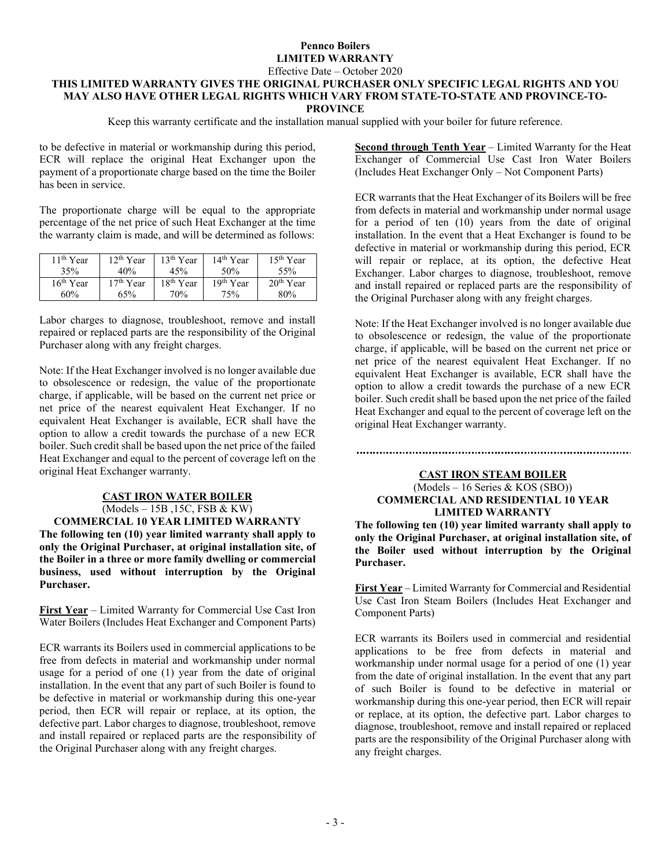# **THIS LIMITED WARRANTY GIVES THE ORIGINAL PURCHASER ONLY SPECIFIC LEGAL RIGHTS AND YOU MAY ALSO HAVE OTHER LEGAL RIGHTS WHICH VARY FROM STATE-TO-STATE AND PROVINCE-TO-PROVINCE**

Keep this warranty certificate and the installation manual supplied with your boiler for future reference.

to be defective in material or workmanship during this period, ECR will replace the original Heat Exchanger upon the payment of a proportionate charge based on the time the Boiler has been in service.

The proportionate charge will be equal to the appropriate percentage of the net price of such Heat Exchanger at the time the warranty claim is made, and will be determined as follows:

| 11 <sup>th</sup> Year | $12th$ Year        | $13th$ Year        | 14 <sup>th</sup> Year        | <sup>15th</sup> Year |
|-----------------------|--------------------|--------------------|------------------------------|----------------------|
| 35%<br>$16th$ Year    | 40%<br>$17th$ Year | 45%<br>$18th$ Year | 50%<br>19 <sup>th</sup> Year | 55%<br>$20th$ Year   |
| 60%                   | 65%                | 70%                | 75%                          | 80%                  |

Labor charges to diagnose, troubleshoot, remove and install repaired or replaced parts are the responsibility of the Original Purchaser along with any freight charges.

Note: If the Heat Exchanger involved is no longer available due to obsolescence or redesign, the value of the proportionate charge, if applicable, will be based on the current net price or net price of the nearest equivalent Heat Exchanger. If no equivalent Heat Exchanger is available, ECR shall have the option to allow a credit towards the purchase of a new ECR boiler. Such credit shall be based upon the net price of the failed Heat Exchanger and equal to the percent of coverage left on the original Heat Exchanger warranty.

### **CAST IRON WATER BOILER** (Models – 15B ,15C, FSB & KW)

**COMMERCIAL 10 YEAR LIMITED WARRANTY The following ten (10) year limited warranty shall apply to only the Original Purchaser, at original installation site, of the Boiler in a three or more family dwelling or commercial business, used without interruption by the Original Purchaser.**

**First Year** – Limited Warranty for Commercial Use Cast Iron Water Boilers (Includes Heat Exchanger and Component Parts)

ECR warrants its Boilers used in commercial applications to be free from defects in material and workmanship under normal usage for a period of one (1) year from the date of original installation. In the event that any part of such Boiler is found to be defective in material or workmanship during this one-year period, then ECR will repair or replace, at its option, the defective part. Labor charges to diagnose, troubleshoot, remove and install repaired or replaced parts are the responsibility of the Original Purchaser along with any freight charges.

**Second through Tenth Year** – Limited Warranty for the Heat Exchanger of Commercial Use Cast Iron Water Boilers (Includes Heat Exchanger Only – Not Component Parts)

ECR warrants that the Heat Exchanger of its Boilers will be free from defects in material and workmanship under normal usage for a period of ten (10) years from the date of original installation. In the event that a Heat Exchanger is found to be defective in material or workmanship during this period, ECR will repair or replace, at its option, the defective Heat Exchanger. Labor charges to diagnose, troubleshoot, remove and install repaired or replaced parts are the responsibility of the Original Purchaser along with any freight charges.

Note: If the Heat Exchanger involved is no longer available due to obsolescence or redesign, the value of the proportionate charge, if applicable, will be based on the current net price or net price of the nearest equivalent Heat Exchanger. If no equivalent Heat Exchanger is available, ECR shall have the option to allow a credit towards the purchase of a new ECR boiler. Such credit shall be based upon the net price of the failed Heat Exchanger and equal to the percent of coverage left on the original Heat Exchanger warranty.

## **CAST IRON STEAM BOILER** (Models – 16 Series & KOS (SBO)) **COMMERCIAL AND RESIDENTIAL 10 YEAR LIMITED WARRANTY**

**The following ten (10) year limited warranty shall apply to only the Original Purchaser, at original installation site, of the Boiler used without interruption by the Original Purchaser.**

**First Year** – Limited Warranty for Commercial and Residential Use Cast Iron Steam Boilers (Includes Heat Exchanger and Component Parts)

ECR warrants its Boilers used in commercial and residential applications to be free from defects in material and workmanship under normal usage for a period of one (1) year from the date of original installation. In the event that any part of such Boiler is found to be defective in material or workmanship during this one-year period, then ECR will repair or replace, at its option, the defective part. Labor charges to diagnose, troubleshoot, remove and install repaired or replaced parts are the responsibility of the Original Purchaser along with any freight charges.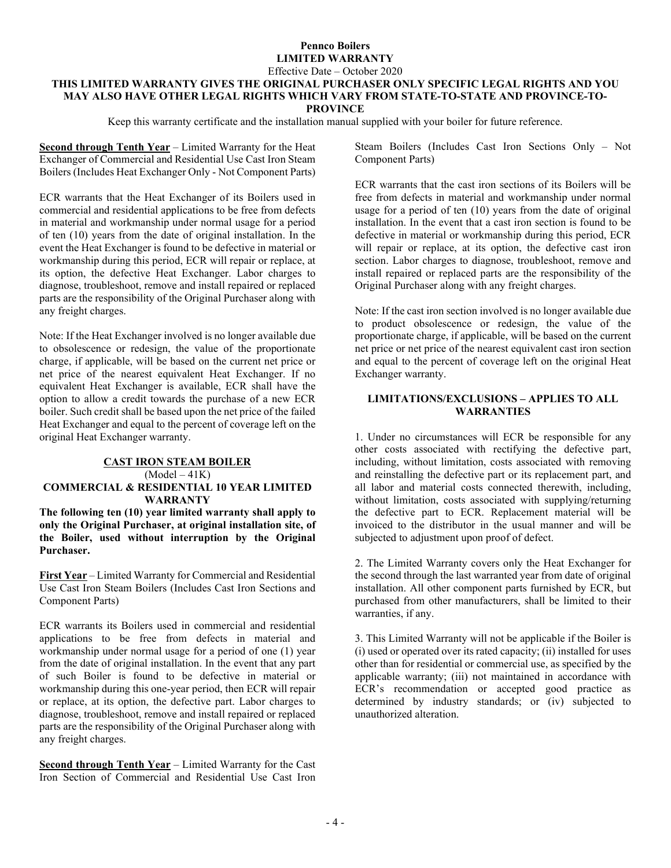# **Pennco Boilers LIMITED WARRANTY**

Effective Date – October 2020

# **THIS LIMITED WARRANTY GIVES THE ORIGINAL PURCHASER ONLY SPECIFIC LEGAL RIGHTS AND YOU MAY ALSO HAVE OTHER LEGAL RIGHTS WHICH VARY FROM STATE-TO-STATE AND PROVINCE-TO-**

**PROVINCE**

Keep this warranty certificate and the installation manual supplied with your boiler for future reference.

**Second through Tenth Year** – Limited Warranty for the Heat Exchanger of Commercial and Residential Use Cast Iron Steam Boilers (Includes Heat Exchanger Only - Not Component Parts)

ECR warrants that the Heat Exchanger of its Boilers used in commercial and residential applications to be free from defects in material and workmanship under normal usage for a period of ten (10) years from the date of original installation. In the event the Heat Exchanger is found to be defective in material or workmanship during this period, ECR will repair or replace, at its option, the defective Heat Exchanger. Labor charges to diagnose, troubleshoot, remove and install repaired or replaced parts are the responsibility of the Original Purchaser along with any freight charges.

Note: If the Heat Exchanger involved is no longer available due to obsolescence or redesign, the value of the proportionate charge, if applicable, will be based on the current net price or net price of the nearest equivalent Heat Exchanger. If no equivalent Heat Exchanger is available, ECR shall have the option to allow a credit towards the purchase of a new ECR boiler. Such credit shall be based upon the net price of the failed Heat Exchanger and equal to the percent of coverage left on the original Heat Exchanger warranty.

### **CAST IRON STEAM BOILER**  $(Model - 41K)$ **COMMERCIAL & RESIDENTIAL 10 YEAR LIMITED WARRANTY**

**The following ten (10) year limited warranty shall apply to only the Original Purchaser, at original installation site, of the Boiler, used without interruption by the Original Purchaser.**

**First Year** – Limited Warranty for Commercial and Residential Use Cast Iron Steam Boilers (Includes Cast Iron Sections and Component Parts)

ECR warrants its Boilers used in commercial and residential applications to be free from defects in material and workmanship under normal usage for a period of one (1) year from the date of original installation. In the event that any part of such Boiler is found to be defective in material or workmanship during this one-year period, then ECR will repair or replace, at its option, the defective part. Labor charges to diagnose, troubleshoot, remove and install repaired or replaced parts are the responsibility of the Original Purchaser along with any freight charges.

**Second through Tenth Year** – Limited Warranty for the Cast Iron Section of Commercial and Residential Use Cast Iron Steam Boilers (Includes Cast Iron Sections Only – Not Component Parts)

ECR warrants that the cast iron sections of its Boilers will be free from defects in material and workmanship under normal usage for a period of ten (10) years from the date of original installation. In the event that a cast iron section is found to be defective in material or workmanship during this period, ECR will repair or replace, at its option, the defective cast iron section. Labor charges to diagnose, troubleshoot, remove and install repaired or replaced parts are the responsibility of the Original Purchaser along with any freight charges.

Note: If the cast iron section involved is no longer available due to product obsolescence or redesign, the value of the proportionate charge, if applicable, will be based on the current net price or net price of the nearest equivalent cast iron section and equal to the percent of coverage left on the original Heat Exchanger warranty.

## **LIMITATIONS/EXCLUSIONS – APPLIES TO ALL WARRANTIES**

1. Under no circumstances will ECR be responsible for any other costs associated with rectifying the defective part, including, without limitation, costs associated with removing and reinstalling the defective part or its replacement part, and all labor and material costs connected therewith, including, without limitation, costs associated with supplying/returning the defective part to ECR. Replacement material will be invoiced to the distributor in the usual manner and will be subjected to adjustment upon proof of defect.

2. The Limited Warranty covers only the Heat Exchanger for the second through the last warranted year from date of original installation. All other component parts furnished by ECR, but purchased from other manufacturers, shall be limited to their warranties, if any.

3. This Limited Warranty will not be applicable if the Boiler is (i) used or operated over its rated capacity; (ii) installed for uses other than for residential or commercial use, as specified by the applicable warranty; (iii) not maintained in accordance with ECR's recommendation or accepted good practice as determined by industry standards; or (iv) subjected to unauthorized alteration.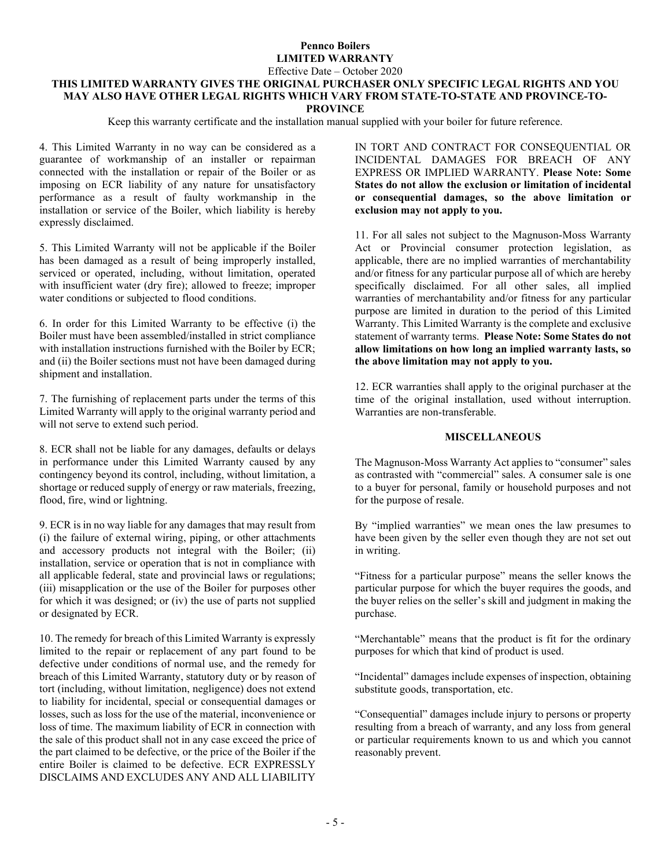# **THIS LIMITED WARRANTY GIVES THE ORIGINAL PURCHASER ONLY SPECIFIC LEGAL RIGHTS AND YOU MAY ALSO HAVE OTHER LEGAL RIGHTS WHICH VARY FROM STATE-TO-STATE AND PROVINCE-TO-PROVINCE**

Keep this warranty certificate and the installation manual supplied with your boiler for future reference.

4. This Limited Warranty in no way can be considered as a guarantee of workmanship of an installer or repairman connected with the installation or repair of the Boiler or as imposing on ECR liability of any nature for unsatisfactory performance as a result of faulty workmanship in the installation or service of the Boiler, which liability is hereby expressly disclaimed.

5. This Limited Warranty will not be applicable if the Boiler has been damaged as a result of being improperly installed, serviced or operated, including, without limitation, operated with insufficient water (dry fire); allowed to freeze; improper water conditions or subjected to flood conditions.

6. In order for this Limited Warranty to be effective (i) the Boiler must have been assembled/installed in strict compliance with installation instructions furnished with the Boiler by ECR; and (ii) the Boiler sections must not have been damaged during shipment and installation.

7. The furnishing of replacement parts under the terms of this Limited Warranty will apply to the original warranty period and will not serve to extend such period.

8. ECR shall not be liable for any damages, defaults or delays in performance under this Limited Warranty caused by any contingency beyond its control, including, without limitation, a shortage or reduced supply of energy or raw materials, freezing, flood, fire, wind or lightning.

9. ECR is in no way liable for any damages that may result from (i) the failure of external wiring, piping, or other attachments and accessory products not integral with the Boiler; (ii) installation, service or operation that is not in compliance with all applicable federal, state and provincial laws or regulations; (iii) misapplication or the use of the Boiler for purposes other for which it was designed; or (iv) the use of parts not supplied or designated by ECR.

10. The remedy for breach of this Limited Warranty is expressly limited to the repair or replacement of any part found to be defective under conditions of normal use, and the remedy for breach of this Limited Warranty, statutory duty or by reason of tort (including, without limitation, negligence) does not extend to liability for incidental, special or consequential damages or losses, such as loss for the use of the material, inconvenience or loss of time. The maximum liability of ECR in connection with the sale of this product shall not in any case exceed the price of the part claimed to be defective, or the price of the Boiler if the entire Boiler is claimed to be defective. ECR EXPRESSLY DISCLAIMS AND EXCLUDES ANY AND ALL LIABILITY

IN TORT AND CONTRACT FOR CONSEQUENTIAL OR INCIDENTAL DAMAGES FOR BREACH OF ANY EXPRESS OR IMPLIED WARRANTY. **Please Note: Some States do not allow the exclusion or limitation of incidental or consequential damages, so the above limitation or exclusion may not apply to you.**

11. For all sales not subject to the Magnuson-Moss Warranty Act or Provincial consumer protection legislation, as applicable, there are no implied warranties of merchantability and/or fitness for any particular purpose all of which are hereby specifically disclaimed. For all other sales, all implied warranties of merchantability and/or fitness for any particular purpose are limited in duration to the period of this Limited Warranty. This Limited Warranty is the complete and exclusive statement of warranty terms. **Please Note: Some States do not allow limitations on how long an implied warranty lasts, so the above limitation may not apply to you.**

12. ECR warranties shall apply to the original purchaser at the time of the original installation, used without interruption. Warranties are non-transferable.

### **MISCELLANEOUS**

The Magnuson-Moss Warranty Act applies to "consumer" sales as contrasted with "commercial" sales. A consumer sale is one to a buyer for personal, family or household purposes and not for the purpose of resale.

By "implied warranties" we mean ones the law presumes to have been given by the seller even though they are not set out in writing.

"Fitness for a particular purpose" means the seller knows the particular purpose for which the buyer requires the goods, and the buyer relies on the seller's skill and judgment in making the purchase.

"Merchantable" means that the product is fit for the ordinary purposes for which that kind of product is used.

"Incidental" damages include expenses of inspection, obtaining substitute goods, transportation, etc.

"Consequential" damages include injury to persons or property resulting from a breach of warranty, and any loss from general or particular requirements known to us and which you cannot reasonably prevent.